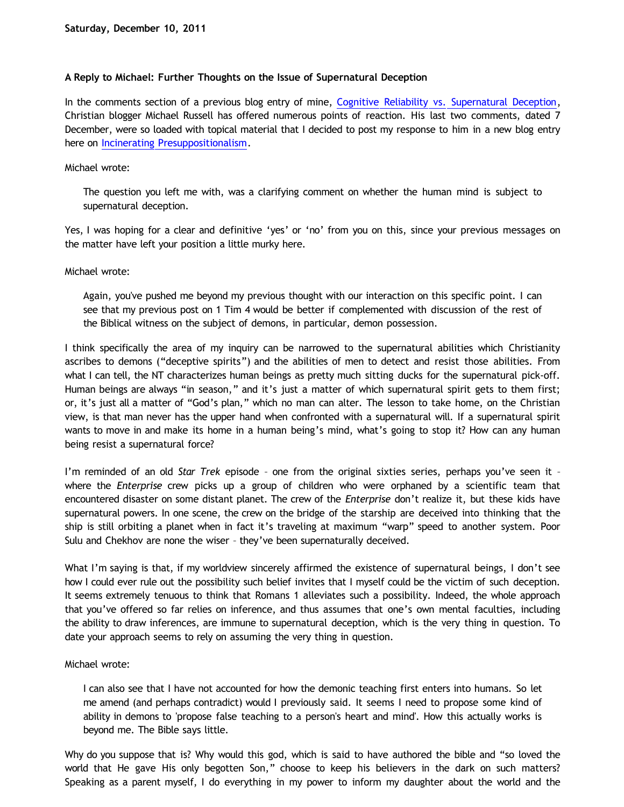# **A Reply to Michael: Further Thoughts on the Issue of Supernatural Deception**

In the comments section of a previous blog entry of mine, [Cognitive Reliability vs. Supernatural Deception,](http://bahnsenburner.blogspot.com/2011/11/cognitive-reliability-vs-supernatural.html) Christian blogger Michael Russell has offered numerous points of reaction. His last two comments, dated 7 December, were so loaded with topical material that I decided to post my response to him in a new blog entry here on [Incinerating Presuppositionalism](http://bahnsenburner.blogspot.com/).

## Michael wrote:

The question you left me with, was a clarifying comment on whether the human mind is subject to supernatural deception.

Yes, I was hoping for a clear and definitive 'yes' or 'no' from you on this, since your previous messages on the matter have left your position a little murky here.

## Michael wrote:

Again, you've pushed me beyond my previous thought with our interaction on this specific point. I can see that my previous post on 1 Tim 4 would be better if complemented with discussion of the rest of the Biblical witness on the subject of demons, in particular, demon possession.

I think specifically the area of my inquiry can be narrowed to the supernatural abilities which Christianity ascribes to demons ("deceptive spirits") and the abilities of men to detect and resist those abilities. From what I can tell, the NT characterizes human beings as pretty much sitting ducks for the supernatural pick-off. Human beings are always "in season," and it's just a matter of which supernatural spirit gets to them first; or, it's just all a matter of "God's plan," which no man can alter. The lesson to take home, on the Christian view, is that man never has the upper hand when confronted with a supernatural will. If a supernatural spirit wants to move in and make its home in a human being's mind, what's going to stop it? How can any human being resist a supernatural force?

I'm reminded of an old *Star Trek* episode – one from the original sixties series, perhaps you've seen it – where the *Enterprise* crew picks up a group of children who were orphaned by a scientific team that encountered disaster on some distant planet. The crew of the *Enterprise* don't realize it, but these kids have supernatural powers. In one scene, the crew on the bridge of the starship are deceived into thinking that the ship is still orbiting a planet when in fact it's traveling at maximum "warp" speed to another system. Poor Sulu and Chekhov are none the wiser – they've been supernaturally deceived.

What I'm saying is that, if my worldview sincerely affirmed the existence of supernatural beings, I don't see how I could ever rule out the possibility such belief invites that I myself could be the victim of such deception. It seems extremely tenuous to think that Romans 1 alleviates such a possibility. Indeed, the whole approach that you've offered so far relies on inference, and thus assumes that one's own mental faculties, including the ability to draw inferences, are immune to supernatural deception, which is the very thing in question. To date your approach seems to rely on assuming the very thing in question.

#### Michael wrote:

I can also see that I have not accounted for how the demonic teaching first enters into humans. So let me amend (and perhaps contradict) would I previously said. It seems I need to propose some kind of ability in demons to 'propose false teaching to a person's heart and mind'. How this actually works is beyond me. The Bible says little.

Why do you suppose that is? Why would this god, which is said to have authored the bible and "so loved the world that He gave His only begotten Son," choose to keep his believers in the dark on such matters? Speaking as a parent myself, I do everything in my power to inform my daughter about the world and the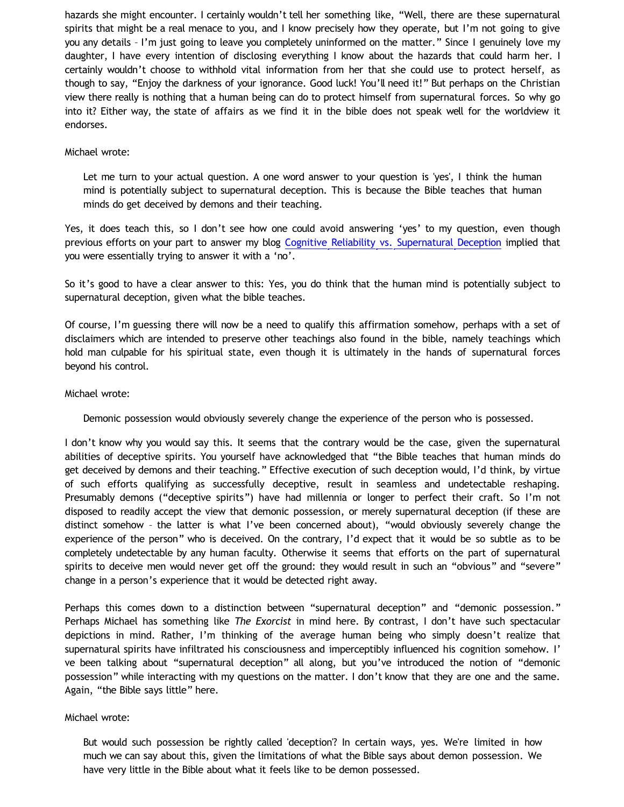hazards she might encounter. I certainly wouldn't tell her something like, "Well, there are these supernatural spirits that might be a real menace to you, and I know precisely how they operate, but I'm not going to give you any details – I'm just going to leave you completely uninformed on the matter." Since I genuinely love my daughter, I have every intention of disclosing everything I know about the hazards that could harm her. I certainly wouldn't choose to withhold vital information from her that she could use to protect herself, as though to say, "Enjoy the darkness of your ignorance. Good luck! You'll need it!" But perhaps on the Christian view there really is nothing that a human being can do to protect himself from supernatural forces. So why go into it? Either way, the state of affairs as we find it in the bible does not speak well for the worldview it endorses.

#### Michael wrote:

Let me turn to your actual question. A one word answer to your question is 'yes', I think the human mind is potentially subject to supernatural deception. This is because the Bible teaches that human minds do get deceived by demons and their teaching.

Yes, it does teach this, so I don't see how one could avoid answering 'yes' to my question, even though previous efforts on your part to answer my blog [Cognitive Reliability vs. Supernatural Deception](http://bahnsenburner.blogspot.com/2011/11/cognitive-reliability-vs-supernatural.html) implied that you were essentially trying to answer it with a 'no'.

So it's good to have a clear answer to this: Yes, you do think that the human mind is potentially subject to supernatural deception, given what the bible teaches.

Of course, I'm guessing there will now be a need to qualify this affirmation somehow, perhaps with a set of disclaimers which are intended to preserve other teachings also found in the bible, namely teachings which hold man culpable for his spiritual state, even though it is ultimately in the hands of supernatural forces beyond his control.

## Michael wrote:

Demonic possession would obviously severely change the experience of the person who is possessed.

I don't know why you would say this. It seems that the contrary would be the case, given the supernatural abilities of deceptive spirits. You yourself have acknowledged that "the Bible teaches that human minds do get deceived by demons and their teaching." Effective execution of such deception would, I'd think, by virtue of such efforts qualifying as successfully deceptive, result in seamless and undetectable reshaping. Presumably demons ("deceptive spirits") have had millennia or longer to perfect their craft. So I'm not disposed to readily accept the view that demonic possession, or merely supernatural deception (if these are distinct somehow – the latter is what I've been concerned about), "would obviously severely change the experience of the person" who is deceived. On the contrary, I'd expect that it would be so subtle as to be completely undetectable by any human faculty. Otherwise it seems that efforts on the part of supernatural spirits to deceive men would never get off the ground: they would result in such an "obvious" and "severe" change in a person's experience that it would be detected right away.

Perhaps this comes down to a distinction between "supernatural deception" and "demonic possession." Perhaps Michael has something like *The Exorcist* in mind here. By contrast, I don't have such spectacular depictions in mind. Rather, I'm thinking of the average human being who simply doesn't realize that supernatural spirits have infiltrated his consciousness and imperceptibly influenced his cognition somehow. I' ve been talking about "supernatural deception" all along, but you've introduced the notion of "demonic possession" while interacting with my questions on the matter. I don't know that they are one and the same. Again, "the Bible says little" here.

# Michael wrote:

But would such possession be rightly called 'deception'? In certain ways, yes. We're limited in how much we can say about this, given the limitations of what the Bible says about demon possession. We have very little in the Bible about what it feels like to be demon possessed.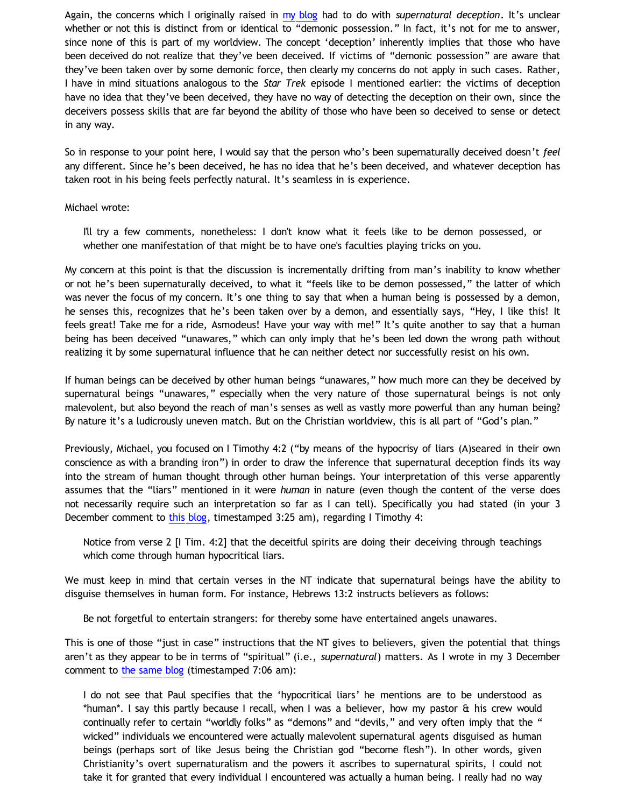Again, the concerns which I originally raised in [my blog](http://bahnsenburner.blogspot.com/2011/11/cognitive-reliability-vs-supernatural.html) had to do with *supernatural deception*. It's unclear whether or not this is distinct from or identical to "demonic possession." In fact, it's not for me to answer, since none of this is part of my worldview. The concept 'deception' inherently implies that those who have been deceived do not realize that they've been deceived. If victims of "demonic possession" are aware that they've been taken over by some demonic force, then clearly my concerns do not apply in such cases. Rather, I have in mind situations analogous to the *Star Trek* episode I mentioned earlier: the victims of deception have no idea that they've been deceived, they have no way of detecting the deception on their own, since the deceivers possess skills that are far beyond the ability of those who have been so deceived to sense or detect in any way.

So in response to your point here, I would say that the person who's been supernaturally deceived doesn't *feel* any different. Since he's been deceived, he has no idea that he's been deceived, and whatever deception has taken root in his being feels perfectly natural. It's seamless in is experience.

## Michael wrote:

I'll try a few comments, nonetheless: I don't know what it feels like to be demon possessed, or whether one manifestation of that might be to have one's faculties playing tricks on you.

My concern at this point is that the discussion is incrementally drifting from man's inability to know whether or not he's been supernaturally deceived, to what it "feels like to be demon possessed," the latter of which was never the focus of my concern. It's one thing to say that when a human being is possessed by a demon, he senses this, recognizes that he's been taken over by a demon, and essentially says, "Hey, I like this! It feels great! Take me for a ride, Asmodeus! Have your way with me!" It's quite another to say that a human being has been deceived "unawares," which can only imply that he's been led down the wrong path without realizing it by some supernatural influence that he can neither detect nor successfully resist on his own.

If human beings can be deceived by other human beings "unawares," how much more can they be deceived by supernatural beings "unawares," especially when the very nature of those supernatural beings is not only malevolent, but also beyond the reach of man's senses as well as vastly more powerful than any human being? By nature it's a ludicrously uneven match. But on the Christian worldview, this is all part of "God's plan."

Previously, Michael, you focused on I Timothy 4:2 ("by means of the hypocrisy of liars (A)seared in their own conscience as with a branding iron") in order to draw the inference that supernatural deception finds its way into the stream of human thought through other human beings. Your interpretation of this verse apparently assumes that the "liars" mentioned in it were *human* in nature (even though the content of the verse does not necessarily require such an interpretation so far as I can tell). Specifically you had stated (in your 3 December comment to [this blog](http://bahnsenburner.blogspot.com/2011/11/cognitive-reliability-vs-supernatural.html), timestamped 3:25 am), regarding I Timothy 4:

Notice from verse 2 [I Tim. 4:2] that the deceitful spirits are doing their deceiving through teachings which come through human hypocritical liars.

We must keep in mind that certain verses in the NT indicate that supernatural beings have the ability to disguise themselves in human form. For instance, Hebrews 13:2 instructs believers as follows:

Be not forgetful to entertain strangers: for thereby some have entertained angels unawares.

This is one of those "just in case" instructions that the NT gives to believers, given the potential that things aren't as they appear to be in terms of "spiritual" (i.e., *supernatural*) matters. As I wrote in my 3 December comment to [the same blog](http://bahnsenburner.blogspot.com/2011/11/cognitive-reliability-vs-supernatural.html) (timestamped 7:06 am):

I do not see that Paul specifies that the 'hypocritical liars' he mentions are to be understood as \*human\*. I say this partly because I recall, when I was a believer, how my pastor & his crew would continually refer to certain "worldly folks" as "demons" and "devils," and very often imply that the " wicked" individuals we encountered were actually malevolent supernatural agents disguised as human beings (perhaps sort of like Jesus being the Christian god "become flesh"). In other words, given Christianity's overt supernaturalism and the powers it ascribes to supernatural spirits, I could not take it for granted that every individual I encountered was actually a human being. I really had no way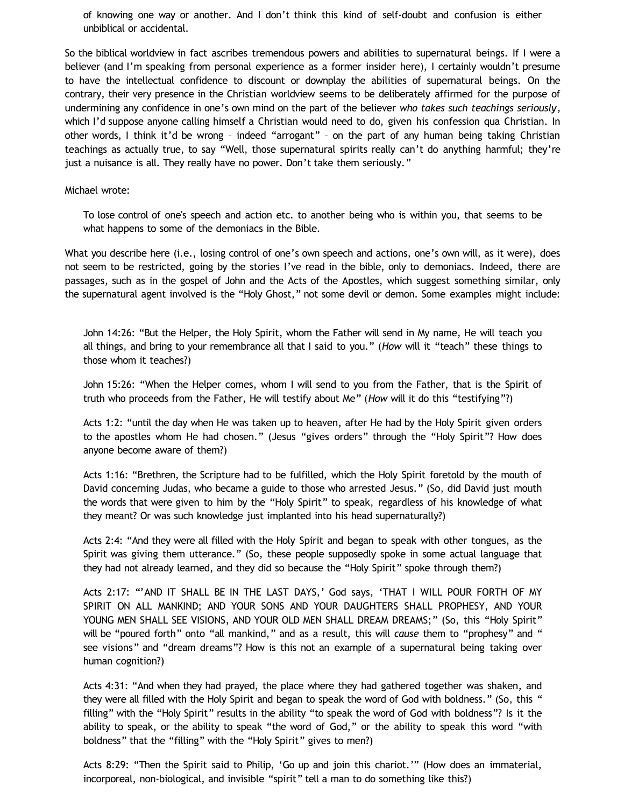of knowing one way or another. And I don't think this kind of self-doubt and confusion is either unbiblical or accidental.

So the biblical worldview in fact ascribes tremendous powers and abilities to supernatural beings. If I were a believer (and I'm speaking from personal experience as a former insider here), I certainly wouldn't presume to have the intellectual confidence to discount or downplay the abilities of supernatural beings. On the contrary, their very presence in the Christian worldview seems to be deliberately affirmed for the purpose of undermining any confidence in one's own mind on the part of the believer *who takes such teachings seriously*, which I'd suppose anyone calling himself a Christian would need to do, given his confession qua Christian. In other words, I think it'd be wrong – indeed "arrogant" – on the part of any human being taking Christian teachings as actually true, to say "Well, those supernatural spirits really can't do anything harmful; they're just a nuisance is all. They really have no power. Don't take them seriously."

### Michael wrote:

To lose control of one's speech and action etc. to another being who is within you, that seems to be what happens to some of the demoniacs in the Bible.

What you describe here (i.e., losing control of one's own speech and actions, one's own will, as it were), does not seem to be restricted, going by the stories I've read in the bible, only to demoniacs. Indeed, there are passages, such as in the gospel of John and the Acts of the Apostles, which suggest something similar, only the supernatural agent involved is the "Holy Ghost," not some devil or demon. Some examples might include:

John 14:26: "But the Helper, the Holy Spirit, whom the Father will send in My name, He will teach you all things, and bring to your remembrance all that I said to you." (*How* will it "teach" these things to those whom it teaches?)

John 15:26: "When the Helper comes, whom I will send to you from the Father, that is the Spirit of truth who proceeds from the Father, He will testify about Me" (*How* will it do this "testifying"?)

Acts 1:2: "until the day when He was taken up to heaven, after He had by the Holy Spirit given orders to the apostles whom He had chosen." (Jesus "gives orders" through the "Holy Spirit"? How does anyone become aware of them?)

Acts 1:16: "Brethren, the Scripture had to be fulfilled, which the Holy Spirit foretold by the mouth of David concerning Judas, who became a guide to those who arrested Jesus." (So, did David just mouth the words that were given to him by the "Holy Spirit" to speak, regardless of his knowledge of what they meant? Or was such knowledge just implanted into his head supernaturally?)

Acts 2:4: "And they were all filled with the Holy Spirit and began to speak with other tongues, as the Spirit was giving them utterance." (So, these people supposedly spoke in some actual language that they had not already learned, and they did so because the "Holy Spirit" spoke through them?)

Acts 2:17: "'AND IT SHALL BE IN THE LAST DAYS,' God says, 'THAT I WILL POUR FORTH OF MY SPIRIT ON ALL MANKIND; AND YOUR SONS AND YOUR DAUGHTERS SHALL PROPHESY, AND YOUR YOUNG MEN SHALL SEE VISIONS, AND YOUR OLD MEN SHALL DREAM DREAMS;" (So, this "Holy Spirit" will be "poured forth" onto "all mankind," and as a result, this will *cause* them to "prophesy" and " see visions" and "dream dreams"? How is this not an example of a supernatural being taking over human cognition?)

Acts 4:31: "And when they had prayed, the place where they had gathered together was shaken, and they were all filled with the Holy Spirit and began to speak the word of God with boldness." (So, this " filling" with the "Holy Spirit" results in the ability "to speak the word of God with boldness"? Is it the ability to speak, or the ability to speak "the word of God," or the ability to speak this word "with boldness" that the "filling" with the "Holy Spirit" gives to men?)

Acts 8:29: "Then the Spirit said to Philip, 'Go up and join this chariot.'" (How does an immaterial, incorporeal, non-biological, and invisible "spirit" tell a man to do something like this?)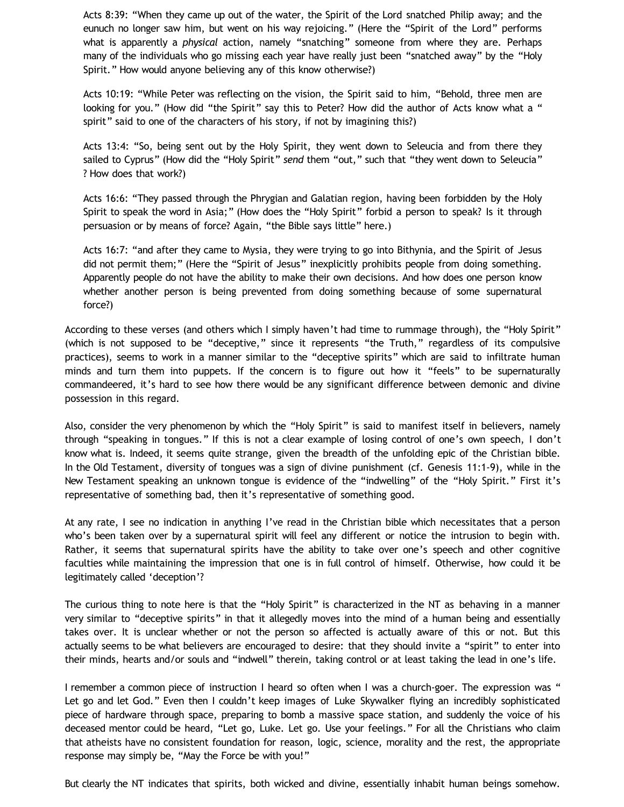Acts 8:39: "When they came up out of the water, the Spirit of the Lord snatched Philip away; and the eunuch no longer saw him, but went on his way rejoicing." (Here the "Spirit of the Lord" performs what is apparently a *physical* action, namely "snatching" someone from where they are. Perhaps many of the individuals who go missing each year have really just been "snatched away" by the "Holy Spirit." How would anyone believing any of this know otherwise?)

Acts 10:19: "While Peter was reflecting on the vision, the Spirit said to him, "Behold, three men are looking for you." (How did "the Spirit" say this to Peter? How did the author of Acts know what a " spirit" said to one of the characters of his story, if not by imagining this?)

Acts 13:4: "So, being sent out by the Holy Spirit, they went down to Seleucia and from there they sailed to Cyprus" (How did the "Holy Spirit" *send* them "out," such that "they went down to Seleucia" ? How does that work?)

Acts 16:6: "They passed through the Phrygian and Galatian region, having been forbidden by the Holy Spirit to speak the word in Asia;" (How does the "Holy Spirit" forbid a person to speak? Is it through persuasion or by means of force? Again, "the Bible says little" here.)

Acts 16:7: "and after they came to Mysia, they were trying to go into Bithynia, and the Spirit of Jesus did not permit them;" (Here the "Spirit of Jesus" inexplicitly prohibits people from doing something. Apparently people do not have the ability to make their own decisions. And how does one person know whether another person is being prevented from doing something because of some supernatural force?)

According to these verses (and others which I simply haven't had time to rummage through), the "Holy Spirit" (which is not supposed to be "deceptive," since it represents "the Truth," regardless of its compulsive practices), seems to work in a manner similar to the "deceptive spirits" which are said to infiltrate human minds and turn them into puppets. If the concern is to figure out how it "feels" to be supernaturally commandeered, it's hard to see how there would be any significant difference between demonic and divine possession in this regard.

Also, consider the very phenomenon by which the "Holy Spirit" is said to manifest itself in believers, namely through "speaking in tongues." If this is not a clear example of losing control of one's own speech, I don't know what is. Indeed, it seems quite strange, given the breadth of the unfolding epic of the Christian bible. In the Old Testament, diversity of tongues was a sign of divine punishment (cf. Genesis 11:1-9), while in the New Testament speaking an unknown tongue is evidence of the "indwelling" of the "Holy Spirit." First it's representative of something bad, then it's representative of something good.

At any rate, I see no indication in anything I've read in the Christian bible which necessitates that a person who's been taken over by a supernatural spirit will feel any different or notice the intrusion to begin with. Rather, it seems that supernatural spirits have the ability to take over one's speech and other cognitive faculties while maintaining the impression that one is in full control of himself. Otherwise, how could it be legitimately called 'deception'?

The curious thing to note here is that the "Holy Spirit" is characterized in the NT as behaving in a manner very similar to "deceptive spirits" in that it allegedly moves into the mind of a human being and essentially takes over. It is unclear whether or not the person so affected is actually aware of this or not. But this actually seems to be what believers are encouraged to desire: that they should invite a "spirit" to enter into their minds, hearts and/or souls and "indwell" therein, taking control or at least taking the lead in one's life.

I remember a common piece of instruction I heard so often when I was a church-goer. The expression was " Let go and let God." Even then I couldn't keep images of Luke Skywalker flying an incredibly sophisticated piece of hardware through space, preparing to bomb a massive space station, and suddenly the voice of his deceased mentor could be heard, "Let go, Luke. Let go. Use your feelings." For all the Christians who claim that atheists have no consistent foundation for reason, logic, science, morality and the rest, the appropriate response may simply be, "May the Force be with you!"

But clearly the NT indicates that spirits, both wicked and divine, essentially inhabit human beings somehow.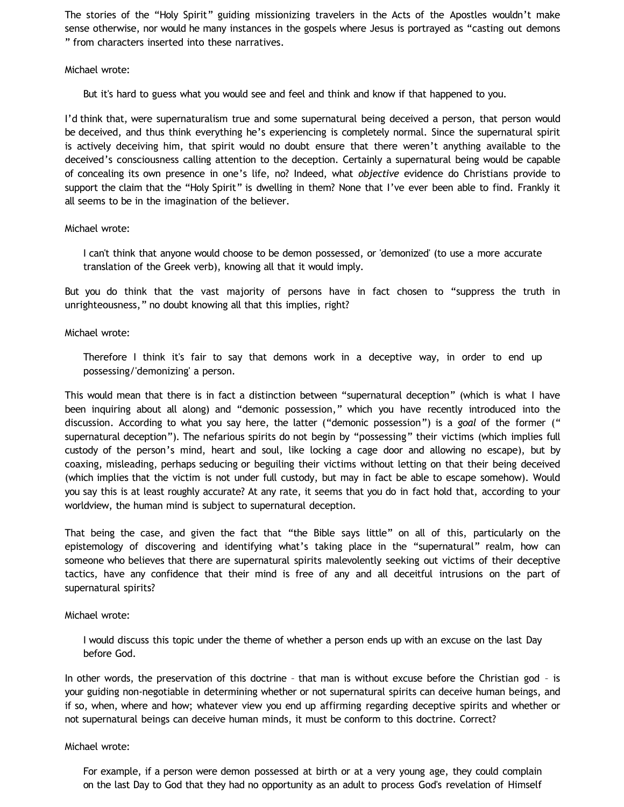The stories of the "Holy Spirit" guiding missionizing travelers in the Acts of the Apostles wouldn't make sense otherwise, nor would he many instances in the gospels where Jesus is portrayed as "casting out demons " from characters inserted into these narratives.

### Michael wrote:

But it's hard to guess what you would see and feel and think and know if that happened to you.

I'd think that, were supernaturalism true and some supernatural being deceived a person, that person would be deceived, and thus think everything he's experiencing is completely normal. Since the supernatural spirit is actively deceiving him, that spirit would no doubt ensure that there weren't anything available to the deceived's consciousness calling attention to the deception. Certainly a supernatural being would be capable of concealing its own presence in one's life, no? Indeed, what *objective* evidence do Christians provide to support the claim that the "Holy Spirit" is dwelling in them? None that I've ever been able to find. Frankly it all seems to be in the imagination of the believer.

#### Michael wrote:

I can't think that anyone would choose to be demon possessed, or 'demonized' (to use a more accurate translation of the Greek verb), knowing all that it would imply.

But you do think that the vast majority of persons have in fact chosen to "suppress the truth in unrighteousness," no doubt knowing all that this implies, right?

## Michael wrote:

Therefore I think it's fair to say that demons work in a deceptive way, in order to end up possessing/'demonizing' a person.

This would mean that there is in fact a distinction between "supernatural deception" (which is what I have been inquiring about all along) and "demonic possession," which you have recently introduced into the discussion. According to what you say here, the latter ("demonic possession") is a *goal* of the former (" supernatural deception"). The nefarious spirits do not begin by "possessing" their victims (which implies full custody of the person's mind, heart and soul, like locking a cage door and allowing no escape), but by coaxing, misleading, perhaps seducing or beguiling their victims without letting on that their being deceived (which implies that the victim is not under full custody, but may in fact be able to escape somehow). Would you say this is at least roughly accurate? At any rate, it seems that you do in fact hold that, according to your worldview, the human mind is subject to supernatural deception.

That being the case, and given the fact that "the Bible says little" on all of this, particularly on the epistemology of discovering and identifying what's taking place in the "supernatural" realm, how can someone who believes that there are supernatural spirits malevolently seeking out victims of their deceptive tactics, have any confidence that their mind is free of any and all deceitful intrusions on the part of supernatural spirits?

#### Michael wrote:

I would discuss this topic under the theme of whether a person ends up with an excuse on the last Day before God.

In other words, the preservation of this doctrine – that man is without excuse before the Christian god – is your guiding non-negotiable in determining whether or not supernatural spirits can deceive human beings, and if so, when, where and how; whatever view you end up affirming regarding deceptive spirits and whether or not supernatural beings can deceive human minds, it must be conform to this doctrine. Correct?

#### Michael wrote:

For example, if a person were demon possessed at birth or at a very young age, they could complain on the last Day to God that they had no opportunity as an adult to process God's revelation of Himself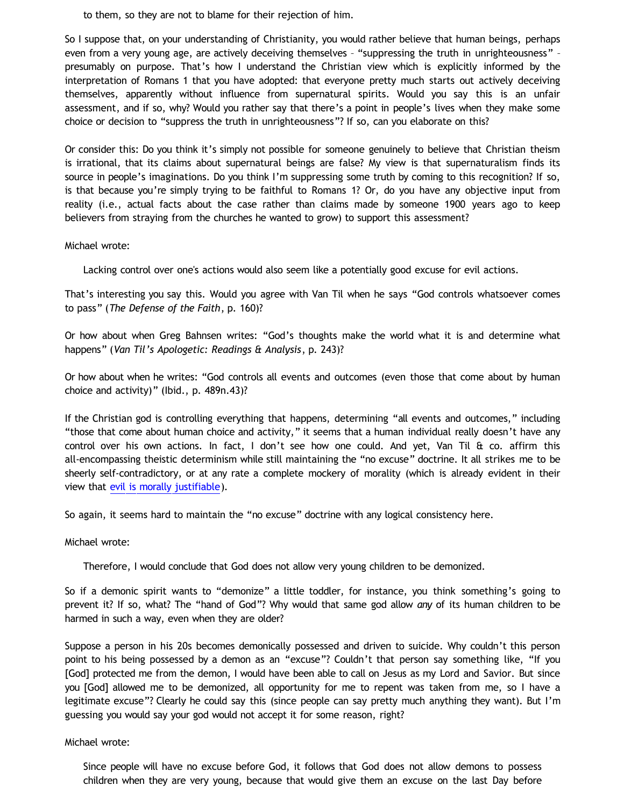to them, so they are not to blame for their rejection of him.

So I suppose that, on your understanding of Christianity, you would rather believe that human beings, perhaps even from a very young age, are actively deceiving themselves – "suppressing the truth in unrighteousness" – presumably on purpose. That's how I understand the Christian view which is explicitly informed by the interpretation of Romans 1 that you have adopted: that everyone pretty much starts out actively deceiving themselves, apparently without influence from supernatural spirits. Would you say this is an unfair assessment, and if so, why? Would you rather say that there's a point in people's lives when they make some choice or decision to "suppress the truth in unrighteousness"? If so, can you elaborate on this?

Or consider this: Do you think it's simply not possible for someone genuinely to believe that Christian theism is irrational, that its claims about supernatural beings are false? My view is that supernaturalism finds its source in people's imaginations. Do you think I'm suppressing some truth by coming to this recognition? If so, is that because you're simply trying to be faithful to Romans 1? Or, do you have any objective input from reality (i.e., actual facts about the case rather than claims made by someone 1900 years ago to keep believers from straying from the churches he wanted to grow) to support this assessment?

Michael wrote:

Lacking control over one's actions would also seem like a potentially good excuse for evil actions.

That's interesting you say this. Would you agree with Van Til when he says "God controls whatsoever comes to pass" (*The Defense of the Faith*, p. 160)?

Or how about when Greg Bahnsen writes: "God's thoughts make the world what it is and determine what happens" (*Van Til's Apologetic: Readings & Analysis*, p. 243)?

Or how about when he writes: "God controls all events and outcomes (even those that come about by human choice and activity)" (Ibid., p. 489n.43)?

If the Christian god is controlling everything that happens, determining "all events and outcomes," including "those that come about human choice and activity," it seems that a human individual really doesn't have any control over his own actions. In fact, I don't see how one could. And yet, Van Til & co. affirm this all-encompassing theistic determinism while still maintaining the "no excuse" doctrine. It all strikes me to be sheerly self-contradictory, or at any rate a complete mockery of morality (which is already evident in their view that [evil is morally justifiable\)](http://bahnsenburner.blogspot.com/2011/12/christianitys-sanction-of-evil.html).

So again, it seems hard to maintain the "no excuse" doctrine with any logical consistency here.

Michael wrote:

Therefore, I would conclude that God does not allow very young children to be demonized.

So if a demonic spirit wants to "demonize" a little toddler, for instance, you think something's going to prevent it? If so, what? The "hand of God"? Why would that same god allow *any* of its human children to be harmed in such a way, even when they are older?

Suppose a person in his 20s becomes demonically possessed and driven to suicide. Why couldn't this person point to his being possessed by a demon as an "excuse"? Couldn't that person say something like, "If you [God] protected me from the demon, I would have been able to call on Jesus as my Lord and Savior. But since you [God] allowed me to be demonized, all opportunity for me to repent was taken from me, so I have a legitimate excuse"? Clearly he could say this (since people can say pretty much anything they want). But I'm guessing you would say your god would not accept it for some reason, right?

Michael wrote:

Since people will have no excuse before God, it follows that God does not allow demons to possess children when they are very young, because that would give them an excuse on the last Day before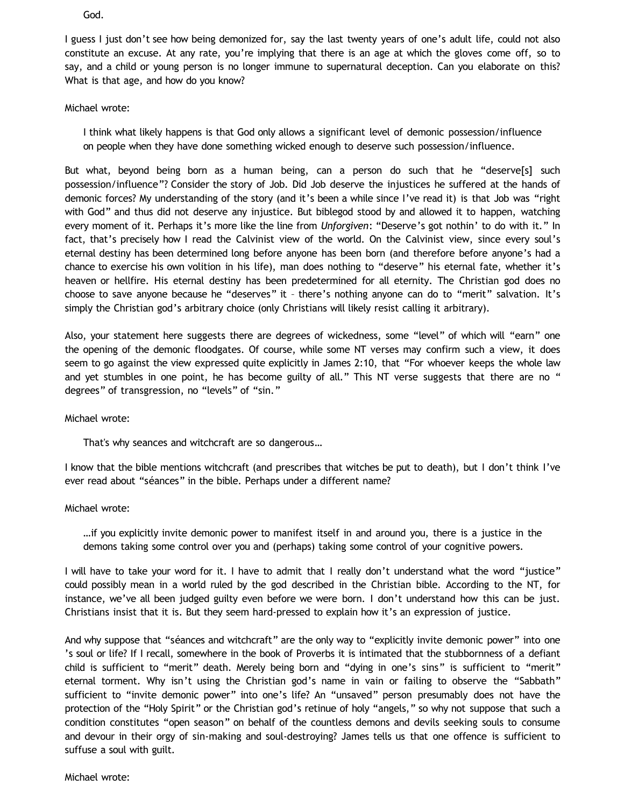God.

I guess I just don't see how being demonized for, say the last twenty years of one's adult life, could not also constitute an excuse. At any rate, you're implying that there is an age at which the gloves come off, so to say, and a child or young person is no longer immune to supernatural deception. Can you elaborate on this? What is that age, and how do you know?

Michael wrote:

I think what likely happens is that God only allows a significant level of demonic possession/influence on people when they have done something wicked enough to deserve such possession/influence.

But what, beyond being born as a human being, can a person do such that he "deserve[s] such possession/influence"? Consider the story of Job. Did Job deserve the injustices he suffered at the hands of demonic forces? My understanding of the story (and it's been a while since I've read it) is that Job was "right with God" and thus did not deserve any injustice. But biblegod stood by and allowed it to happen, watching every moment of it. Perhaps it's more like the line from *Unforgiven*: "Deserve's got nothin' to do with it." In fact, that's precisely how I read the Calvinist view of the world. On the Calvinist view, since every soul's eternal destiny has been determined long before anyone has been born (and therefore before anyone's had a chance to exercise his own volition in his life), man does nothing to "deserve" his eternal fate, whether it's heaven or hellfire. His eternal destiny has been predetermined for all eternity. The Christian god does no choose to save anyone because he "deserves" it – there's nothing anyone can do to "merit" salvation. It's simply the Christian god's arbitrary choice (only Christians will likely resist calling it arbitrary).

Also, your statement here suggests there are degrees of wickedness, some "level" of which will "earn" one the opening of the demonic floodgates. Of course, while some NT verses may confirm such a view, it does seem to go against the view expressed quite explicitly in James 2:10, that "For whoever keeps the whole law and yet stumbles in one point, he has become guilty of all." This NT verse suggests that there are no " degrees" of transgression, no "levels" of "sin."

#### Michael wrote:

That's why seances and witchcraft are so dangerous…

I know that the bible mentions witchcraft (and prescribes that witches be put to death), but I don't think I've ever read about "séances" in the bible. Perhaps under a different name?

#### Michael wrote:

…if you explicitly invite demonic power to manifest itself in and around you, there is a justice in the demons taking some control over you and (perhaps) taking some control of your cognitive powers.

I will have to take your word for it. I have to admit that I really don't understand what the word "justice" could possibly mean in a world ruled by the god described in the Christian bible. According to the NT, for instance, we've all been judged guilty even before we were born. I don't understand how this can be just. Christians insist that it is. But they seem hard-pressed to explain how it's an expression of justice.

And why suppose that "séances and witchcraft" are the only way to "explicitly invite demonic power" into one 's soul or life? If I recall, somewhere in the book of Proverbs it is intimated that the stubbornness of a defiant child is sufficient to "merit" death. Merely being born and "dying in one's sins" is sufficient to "merit" eternal torment. Why isn't using the Christian god's name in vain or failing to observe the "Sabbath" sufficient to "invite demonic power" into one's life? An "unsaved" person presumably does not have the protection of the "Holy Spirit" or the Christian god's retinue of holy "angels," so why not suppose that such a condition constitutes "open season" on behalf of the countless demons and devils seeking souls to consume and devour in their orgy of sin-making and soul-destroying? James tells us that one offence is sufficient to suffuse a soul with guilt.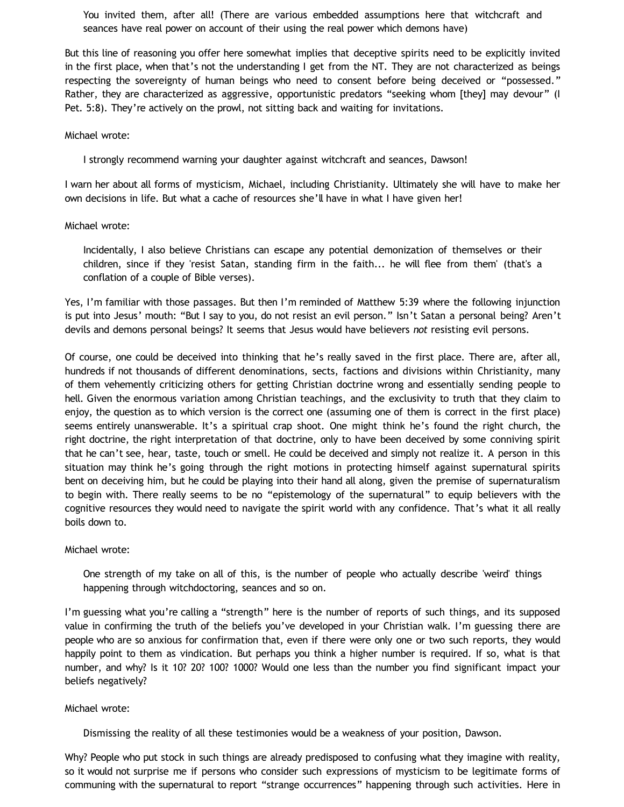You invited them, after all! (There are various embedded assumptions here that witchcraft and seances have real power on account of their using the real power which demons have)

But this line of reasoning you offer here somewhat implies that deceptive spirits need to be explicitly invited in the first place, when that's not the understanding I get from the NT. They are not characterized as beings respecting the sovereignty of human beings who need to consent before being deceived or "possessed." Rather, they are characterized as aggressive, opportunistic predators "seeking whom [they] may devour" (I Pet. 5:8). They're actively on the prowl, not sitting back and waiting for invitations.

#### Michael wrote:

I strongly recommend warning your daughter against witchcraft and seances, Dawson!

I warn her about all forms of mysticism, Michael, including Christianity. Ultimately she will have to make her own decisions in life. But what a cache of resources she'll have in what I have given her!

#### Michael wrote:

Incidentally, I also believe Christians can escape any potential demonization of themselves or their children, since if they 'resist Satan, standing firm in the faith... he will flee from them' (that's a conflation of a couple of Bible verses).

Yes, I'm familiar with those passages. But then I'm reminded of Matthew 5:39 where the following injunction is put into Jesus' mouth: "But I say to you, do not resist an evil person." Isn't Satan a personal being? Aren't devils and demons personal beings? It seems that Jesus would have believers *not* resisting evil persons.

Of course, one could be deceived into thinking that he's really saved in the first place. There are, after all, hundreds if not thousands of different denominations, sects, factions and divisions within Christianity, many of them vehemently criticizing others for getting Christian doctrine wrong and essentially sending people to hell. Given the enormous variation among Christian teachings, and the exclusivity to truth that they claim to enjoy, the question as to which version is the correct one (assuming one of them is correct in the first place) seems entirely unanswerable. It's a spiritual crap shoot. One might think he's found the right church, the right doctrine, the right interpretation of that doctrine, only to have been deceived by some conniving spirit that he can't see, hear, taste, touch or smell. He could be deceived and simply not realize it. A person in this situation may think he's going through the right motions in protecting himself against supernatural spirits bent on deceiving him, but he could be playing into their hand all along, given the premise of supernaturalism to begin with. There really seems to be no "epistemology of the supernatural" to equip believers with the cognitive resources they would need to navigate the spirit world with any confidence. That's what it all really boils down to.

#### Michael wrote:

One strength of my take on all of this, is the number of people who actually describe 'weird' things happening through witchdoctoring, seances and so on.

I'm guessing what you're calling a "strength" here is the number of reports of such things, and its supposed value in confirming the truth of the beliefs you've developed in your Christian walk. I'm guessing there are people who are so anxious for confirmation that, even if there were only one or two such reports, they would happily point to them as vindication. But perhaps you think a higher number is required. If so, what is that number, and why? Is it 10? 20? 100? 1000? Would one less than the number you find significant impact your beliefs negatively?

#### Michael wrote:

Dismissing the reality of all these testimonies would be a weakness of your position, Dawson.

Why? People who put stock in such things are already predisposed to confusing what they imagine with reality, so it would not surprise me if persons who consider such expressions of mysticism to be legitimate forms of communing with the supernatural to report "strange occurrences" happening through such activities. Here in